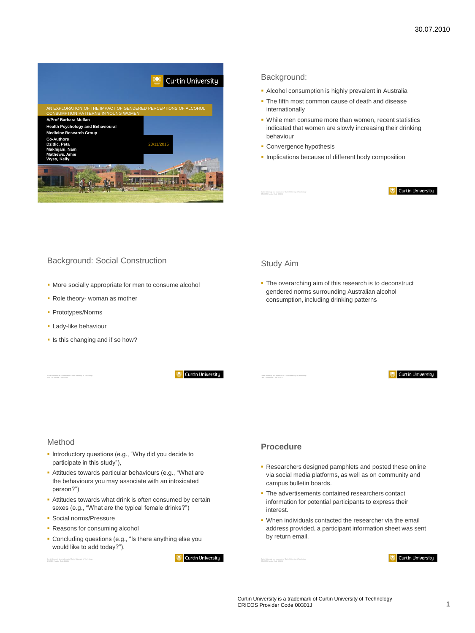

# Background:

- Alcohol consumption is highly prevalent in Australia
- The fifth most common cause of death and disease internationally
- While men consume more than women, recent statistics indicated that women are slowly increasing their drinking behaviour
- **Convergence hypothesis**
- **Implications because of different body composition**

#### **Curtin University**

# Background: Social Construction

- More socially appropriate for men to consume alcohol
- Role theory- woman as mother
- **Prototypes/Norms**
- **Lady-like behaviour**
- Is this changing and if so how?

**Curtin University** 

# Study Aim

• The overarching aim of this research is to deconstruct gendered norms surrounding Australian alcohol consumption, including drinking patterns



# Method

- **Introductory questions (e.g., "Why did you decide to** participate in this study"),
- Attitudes towards particular behaviours (e.g., "What are the behaviours you may associate with an intoxicated person?")
- **Attitudes towards what drink is often consumed by certain** sexes (e.g., "What are the typical female drinks?")
- Social norms/Pressure
- **Reasons for consuming alcohol**
- Concluding questions (e.g., "Is there anything else you would like to add today?").

**Curtin University** 

# **Procedure**

- Researchers designed pamphlets and posted these online via social media platforms, as well as on community and campus bulletin boards.
- **The advertisements contained researchers contact** information for potential participants to express their interest.
- When individuals contacted the researcher via the email address provided, a participant information sheet was sent by return email.

**Curtin University** 

Curtin University is a trademark of Curtin University of Technology CRICOS Provider Code 00301J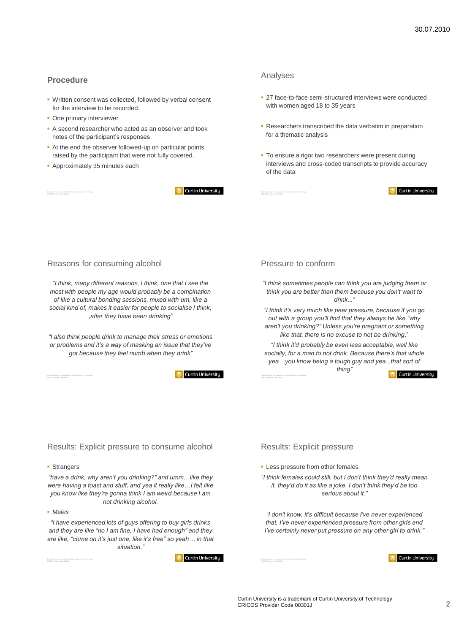# **Procedure**

- Written consent was collected, followed by verbal consent for the interview to be recorded.
- **One primary interviewer**
- A second researcher who acted as an observer and took notes of the participant's responses.
- At the end the observer followed-up on particular points raised by the participant that were not fully covered.
- **Approximately 35 minutes each**

**Curtin University** 

#### Analyses

- 27 face-to-face semi-structured interviews were conducted with women aged 18 to 35 years
- **Researchers transcribed the data verbatim in preparation** for a thematic analysis
- To ensure a rigor two researchers were present during interviews and cross-coded transcripts to provide accuracy of the data

#### Reasons for consuming alcohol

*"I think, many different reasons, I think, one that I see the most with people my age would probably be a combination of like a cultural bonding sessions, mixed with um, like a social kind of, makes it easier for people to socialise I think, ,after they have been drinking"*

*"I also think people drink to manage their stress or emotions or problems and it's a way of masking an issue that they've got because they feel numb when they drink"*

**Curtin University** 

#### Pressure to conform

*"I think sometimes people can think you are judging them or think you are better than them because you don't want to drink..."* 

"*I think it's very much like peer pressure, because if you go out with a group you'll find that they always be like "why aren't you drinking?" Unless you're pregnant or something like that, there is no excuse to not be drinking*."

*"I think it'd probably be even less acceptable, well like socially, for a man to not drink. Because there's that whole yea…you know being a tough guy and yea...that sort of thing"*

Curtin University is a trademark of Curtin University of Technology CRICOS Provider Code 00301J

**Curtin University** 

**Curtin University** 

Results: Explicit pressure to consume alcohol

#### **Strangers**

Curtin University is a trademark of Curtin University of Technology CRICOS Provider Code 00301J

*"have a drink, why aren't you drinking?" and umm…like they were having a toast and stuff, and yea it really like…I felt like you know like they're gonna think I am weird because I am not drinking alcohol.* 

#### *Males*

*"I have experienced lots of guys offering to buy girls drinks and they are like "no I am fine, I have had enough" and they are like, "come on it's just one, like it's free" so yeah… in that situation."*

**Curtin University** 

#### Results: Explicit pressure

- **Less pressure from other females**
- *"I think females could still, but I don't think they'd really mean it, they'd do it as like a joke. I don't think they'd be too serious about it."*

*"I don't know, it's difficult because I've never experienced that. I've never experienced pressure from other girls and I've certainly never put pressure on any other girl to drink."*

**Curtin University**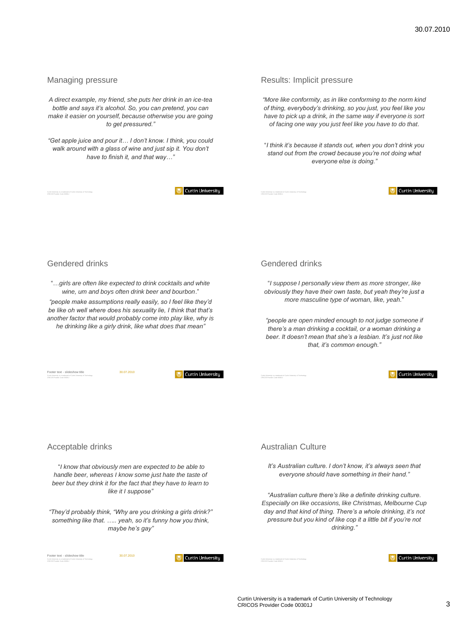#### Managing pressure

*A direct example, my friend, she puts her drink in an ice-tea bottle and says it's alcohol. So, you can pretend, you can make it easier on yourself, because otherwise you are going to get pressured."*

*"Get apple juice and pour it… I don't know. I think, you could walk around with a glass of wine and just sip it. You don't have to finish it, and that way…"*

**Curtin University** 

#### Results: Implicit pressure

*"More like conformity, as in like conforming to the norm kind of thing, everybody's drinking, so you just, you feel like you have to pick up a drink, in the same way if everyone is sort of facing one way you just feel like you have to do that.*

"*I think it's because it stands out, when you don't drink you stand out from the crowd because you're not doing what everyone else is doing."* 



# Gendered drinks

"…*girls are often like expected to drink cocktails and white wine, um and boys often drink beer and bourbon*."

*"people make assumptions really easily, so I feel like they'd be like oh well where does his sexuality lie, I think that that's another factor that would probably come into play like, why is he drinking like a girly drink, like what does that mean"* 

Footer text - slideshow title 30.07.2010



#### Gendered drinks

"*I suppose I personally view them as more stronger, like obviously they have their own taste, but yeah they're just a more masculine type of woman, like, yeah.*"

*"people are open minded enough to not judge someone if there's a man drinking a cocktail, or a woman drinking a beer. It doesn't mean that she's a lesbian. It's just not like that, it's common enough."*

Curtin University is a trademark of Curtin University of Technology CRICOS Provider Code 00301J

#### **Curtin University**

Acceptable drinks

"*I know that obviously men are expected to be able to handle beer, whereas I know some just hate the taste of beer but they drink it for the fact that they have to learn to like it I suppose"* 

*"They'd probably think, "Why are you drinking a girls drink?" something like that. ….. yeah, so it's funny how you think, maybe he's gay"*

# Australian Culture

*It's Australian culture. I don't know, it's always seen that everyone should have something in their hand."*

*"Australian culture there's like a definite drinking culture. Especially on like occasions, like Christmas, Melbourne Cup day and that kind of thing. There's a whole drinking, it's not pressure but you kind of like cop it a little bit if you're not drinking."*

Footext - slideshow title 30.07.2010

**Curtin University** 

**Curtin University** 

Curtin University is a trademark of Curtin University of Technology CRICOS Provider Code 00301J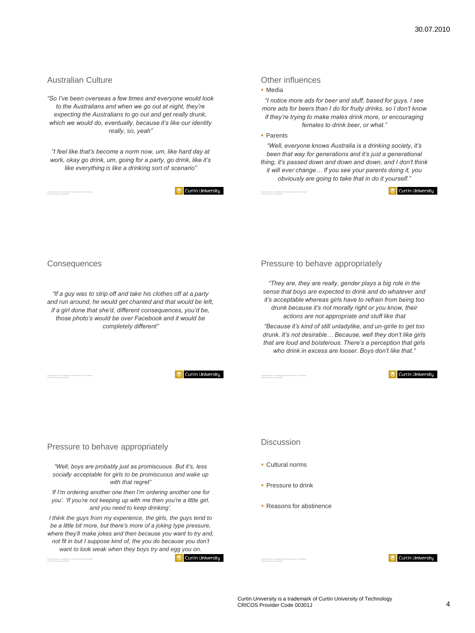# Australian Culture

*"So I've been overseas a few times and everyone would look to the Australians and when we go out at night, they're expecting the Australians to go out and get really drunk, which we would do, eventually, because it's like our identity really, so, yeah"*

*"I feel like that's become a norm now, um, like hard day at work, okay go drink, um, going for a party, go drink, like it's like everything is like a drinking sort of scenario"*

**Curtin University** 

#### Other influences

· Media

*"I notice more ads for beer and stuff, based for guys. I see more ads for beers than I do for fruity drinks, so I don't know if they're trying to make males drink more, or encouraging females to drink beer, or what."*

**Parents** 

*"Well, everyone knows Australia is a drinking society, it's been that way for generations and it's just a generational thing, it's passed down and down and down, and I don't think it will ever change… If you see your parents doing it, you* 

*obviously are going to take that in do it yourself."*

Curtin University



*"If a guy was to strip off and take his clothes off at a party and run around, he would get chanted and that would be left, if a girl done that she'd, different consequences, you'd be, those photo's would be over Facebook and it would be completely different"*

**Curtin University** 

# Pressure to behave appropriately

*"Well, boys are probably just as promiscuous. But it's, less socially acceptable for girls to be promiscuous and wake up with that regret"* 

*'if I'm ordering another one then I'm ordering another one for you'. 'If you're not keeping up with me then you're a little girl, and you need to keep drinking'.*

*I think the guys from my experience, the girls, the guys tend to be a little bit more, but there's more of a joking type pressure, where they'll make jokes and then because you want to try and, not fit in but I suppose kind of, the you do because you don't want to look weak when they boys try and egg you on.* 

**Curtin University** 

### Pressure to behave appropriately

*"They are, they are really, gender plays a big role in the sense that boys are expected to drink and do whatever and it's acceptable whereas girls have to refrain from being too drunk because it's not morally right or you know, their actions are not appropriate and stuff like that*

*"Because it's kind of still unladylike, and un-girlie to get too drunk. It's not desirable… Because, well they don't like girls that are loud and boisterous. There's a perception that girls who drink in excess are looser. Boys don't like that."* 

Curtin University is a trademark of Curtin University of Technology CRICOS Provider Code 00301J

**Curtin University** 

# Discussion

- Cultural norms
- **Pressure to drink**
- **Reasons for abstinence**